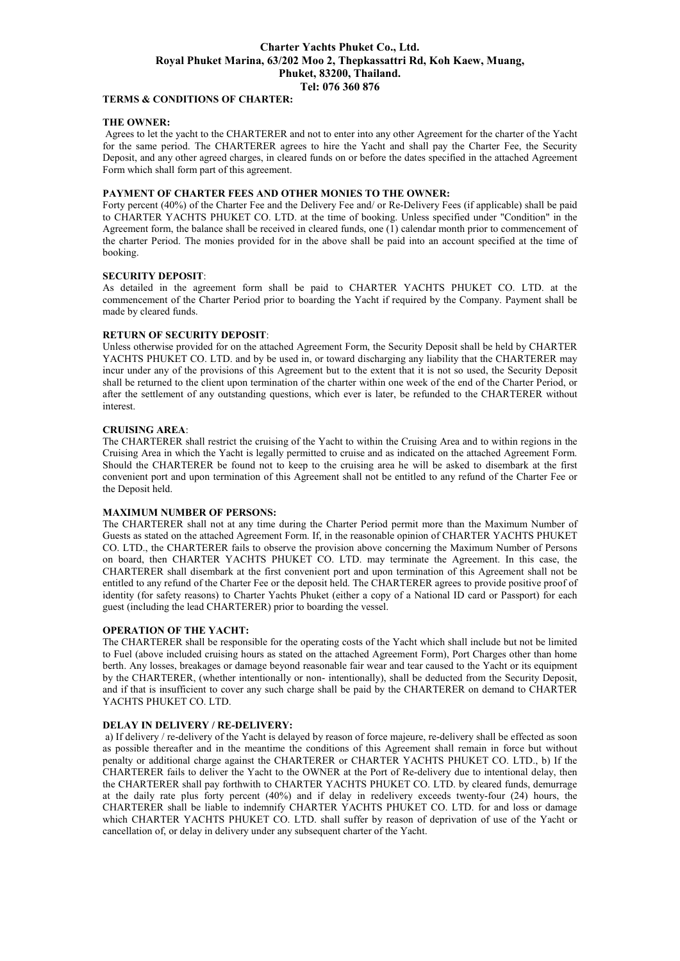# **Charter Yachts Phuket Co., Ltd. Royal Phuket Marina, 63/202 Moo 2, Thepkassattri Rd, Koh Kaew, Muang, Phuket, 83200, Thailand. Tel: 076 360 876**

## **TERMS & CONDITIONS OF CHARTER:**

## **THE OWNER:**

 Agrees to let the yacht to the CHARTERER and not to enter into any other Agreement for the charter of the Yacht for the same period. The CHARTERER agrees to hire the Yacht and shall pay the Charter Fee, the Security Deposit, and any other agreed charges, in cleared funds on or before the dates specified in the attached Agreement Form which shall form part of this agreement.

## **PAYMENT OF CHARTER FEES AND OTHER MONIES TO THE OWNER:**

Forty percent (40%) of the Charter Fee and the Delivery Fee and/ or Re-Delivery Fees (if applicable) shall be paid to CHARTER YACHTS PHUKET CO. LTD. at the time of booking. Unless specified under "Condition" in the Agreement form, the balance shall be received in cleared funds, one (1) calendar month prior to commencement of the charter Period. The monies provided for in the above shall be paid into an account specified at the time of booking.

## **SECURITY DEPOSIT**:

As detailed in the agreement form shall be paid to CHARTER YACHTS PHUKET CO. LTD. at the commencement of the Charter Period prior to boarding the Yacht if required by the Company. Payment shall be made by cleared funds.

## **RETURN OF SECURITY DEPOSIT**:

Unless otherwise provided for on the attached Agreement Form, the Security Deposit shall be held by CHARTER YACHTS PHUKET CO. LTD. and by be used in, or toward discharging any liability that the CHARTERER may incur under any of the provisions of this Agreement but to the extent that it is not so used, the Security Deposit shall be returned to the client upon termination of the charter within one week of the end of the Charter Period, or after the settlement of any outstanding questions, which ever is later, be refunded to the CHARTERER without interest.

## **CRUISING AREA**:

The CHARTERER shall restrict the cruising of the Yacht to within the Cruising Area and to within regions in the Cruising Area in which the Yacht is legally permitted to cruise and as indicated on the attached Agreement Form. Should the CHARTERER be found not to keep to the cruising area he will be asked to disembark at the first convenient port and upon termination of this Agreement shall not be entitled to any refund of the Charter Fee or the Deposit held.

#### **MAXIMUM NUMBER OF PERSONS:**

The CHARTERER shall not at any time during the Charter Period permit more than the Maximum Number of Guests as stated on the attached Agreement Form. If, in the reasonable opinion of CHARTER YACHTS PHUKET CO. LTD., the CHARTERER fails to observe the provision above concerning the Maximum Number of Persons on board, then CHARTER YACHTS PHUKET CO. LTD. may terminate the Agreement. In this case, the CHARTERER shall disembark at the first convenient port and upon termination of this Agreement shall not be entitled to any refund of the Charter Fee or the deposit held. The CHARTERER agrees to provide positive proof of identity (for safety reasons) to Charter Yachts Phuket (either a copy of a National ID card or Passport) for each guest (including the lead CHARTERER) prior to boarding the vessel.

## **OPERATION OF THE YACHT:**

The CHARTERER shall be responsible for the operating costs of the Yacht which shall include but not be limited to Fuel (above included cruising hours as stated on the attached Agreement Form), Port Charges other than home berth. Any losses, breakages or damage beyond reasonable fair wear and tear caused to the Yacht or its equipment by the CHARTERER, (whether intentionally or non- intentionally), shall be deducted from the Security Deposit, and if that is insufficient to cover any such charge shall be paid by the CHARTERER on demand to CHARTER YACHTS PHUKET CO. LTD.

#### **DELAY IN DELIVERY / RE-DELIVERY:**

 a) If delivery / re-delivery of the Yacht is delayed by reason of force majeure, re-delivery shall be effected as soon as possible thereafter and in the meantime the conditions of this Agreement shall remain in force but without penalty or additional charge against the CHARTERER or CHARTER YACHTS PHUKET CO. LTD., b) If the CHARTERER fails to deliver the Yacht to the OWNER at the Port of Re-delivery due to intentional delay, then the CHARTERER shall pay forthwith to CHARTER YACHTS PHUKET CO. LTD. by cleared funds, demurrage at the daily rate plus forty percent (40%) and if delay in redelivery exceeds twenty-four (24) hours, the CHARTERER shall be liable to indemnify CHARTER YACHTS PHUKET CO. LTD. for and loss or damage which CHARTER YACHTS PHUKET CO. LTD. shall suffer by reason of deprivation of use of the Yacht or cancellation of, or delay in delivery under any subsequent charter of the Yacht.